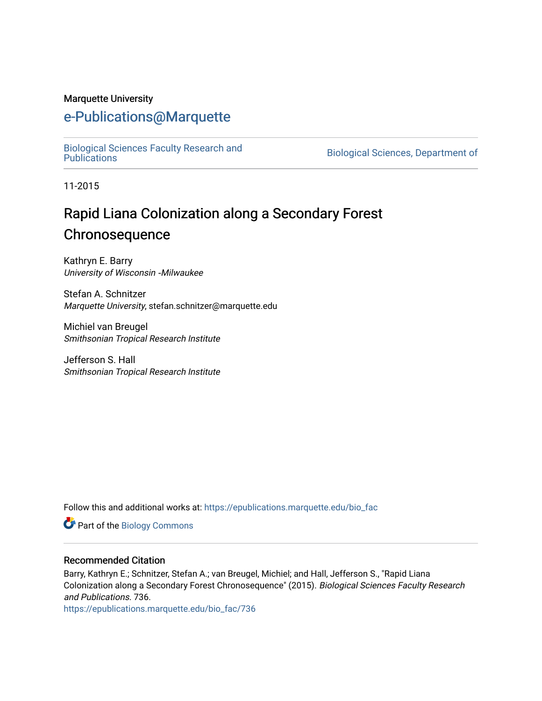#### Marquette University

# [e-Publications@Marquette](https://epublications.marquette.edu/)

[Biological Sciences Faculty Research and](https://epublications.marquette.edu/bio_fac) 

Biological Sciences, Department of

11-2015

# Rapid Liana Colonization along a Secondary Forest **Chronosequence**

Kathryn E. Barry University of Wisconsin ‐Milwaukee

Stefan A. Schnitzer Marquette University, stefan.schnitzer@marquette.edu

Michiel van Breugel Smithsonian Tropical Research Institute

Jefferson S. Hall Smithsonian Tropical Research Institute

Follow this and additional works at: [https://epublications.marquette.edu/bio\\_fac](https://epublications.marquette.edu/bio_fac?utm_source=epublications.marquette.edu%2Fbio_fac%2F736&utm_medium=PDF&utm_campaign=PDFCoverPages) 

Part of the [Biology Commons](http://network.bepress.com/hgg/discipline/41?utm_source=epublications.marquette.edu%2Fbio_fac%2F736&utm_medium=PDF&utm_campaign=PDFCoverPages) 

#### Recommended Citation

Barry, Kathryn E.; Schnitzer, Stefan A.; van Breugel, Michiel; and Hall, Jefferson S., "Rapid Liana Colonization along a Secondary Forest Chronosequence" (2015). Biological Sciences Faculty Research and Publications. 736.

[https://epublications.marquette.edu/bio\\_fac/736](https://epublications.marquette.edu/bio_fac/736?utm_source=epublications.marquette.edu%2Fbio_fac%2F736&utm_medium=PDF&utm_campaign=PDFCoverPages)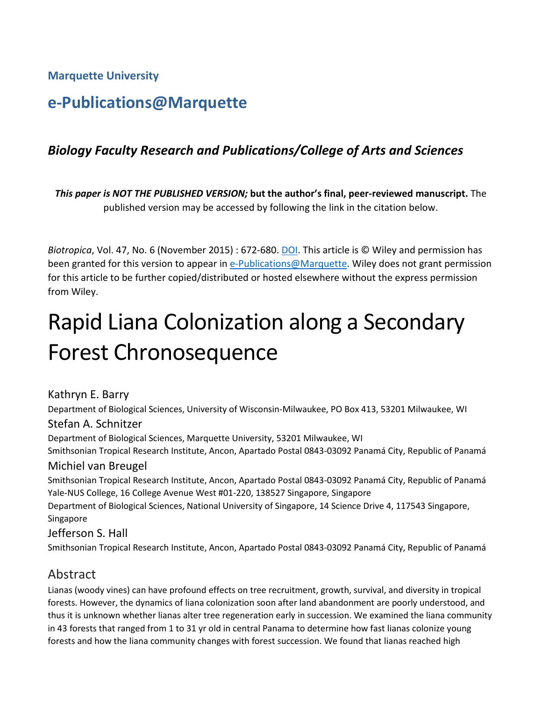**Marquette University**

# **e-Publications@Marquette**

# *Biology Faculty Research and Publications/College of Arts and Sciences*

*This paper is NOT THE PUBLISHED VERSION;* **but the author's final, peer-reviewed manuscript.** The published version may be accessed by following the link in the citation below.

*Biotropica*, Vol. 47, No. 6 (November 2015) : 672-680. [DOI.](https://onlinelibrary.wiley.com/doi/full/10.1111/btp.12259) This article is © Wiley and permission has been granted for this version to appear in [e-Publications@Marquette.](http://epublications.marquette.edu/) Wiley does not grant permission for this article to be further copied/distributed or hosted elsewhere without the express permission from Wiley.

# Rapid Liana Colonization along a Secondary Forest Chronosequence

#### Kathryn E. Barry

Department of Biological Sciences, University of Wisconsin-Milwaukee, PO Box 413, 53201 Milwaukee, WI

#### Stefan A. Schnitzer

Department of Biological Sciences, Marquette University, 53201 Milwaukee, WI

Smithsonian Tropical Research Institute, Ancon, Apartado Postal 0843-03092 Panamá City, Republic of Panamá

#### Michiel van Breugel

Smithsonian Tropical Research Institute, Ancon, Apartado Postal 0843-03092 Panamá City, Republic of Panamá Yale-NUS College, 16 College Avenue West #01-220, 138527 Singapore, Singapore

Department of Biological Sciences, National University of Singapore, 14 Science Drive 4, 117543 Singapore, Singapore

#### Jefferson S. Hall

Smithsonian Tropical Research Institute, Ancon, Apartado Postal 0843-03092 Panamá City, Republic of Panamá

### Abstract

Lianas (woody vines) can have profound effects on tree recruitment, growth, survival, and diversity in tropical forests. However, the dynamics of liana colonization soon after land abandonment are poorly understood, and thus it is unknown whether lianas alter tree regeneration early in succession. We examined the liana community in 43 forests that ranged from 1 to 31 yr old in central Panama to determine how fast lianas colonize young forests and how the liana community changes with forest succession. We found that lianas reached high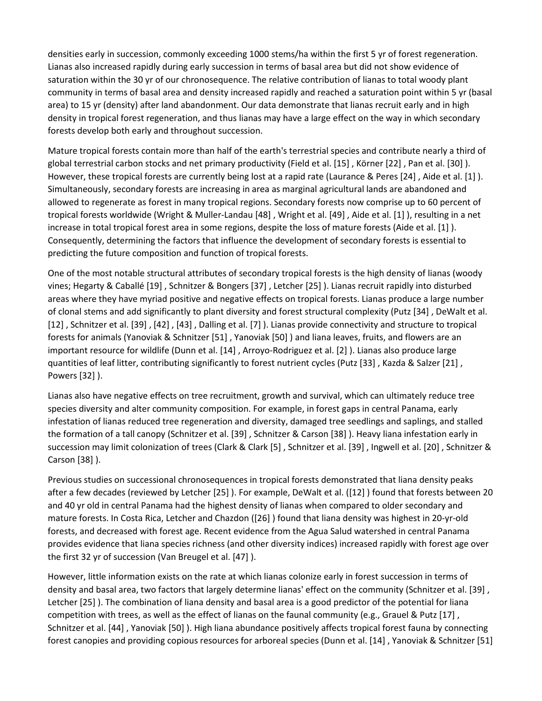densities early in succession, commonly exceeding 1000 stems/ha within the first 5 yr of forest regeneration. Lianas also increased rapidly during early succession in terms of basal area but did not show evidence of saturation within the 30 yr of our chronosequence. The relative contribution of lianas to total woody plant community in terms of basal area and density increased rapidly and reached a saturation point within 5 yr (basal area) to 15 yr (density) after land abandonment. Our data demonstrate that lianas recruit early and in high density in tropical forest regeneration, and thus lianas may have a large effect on the way in which secondary forests develop both early and throughout succession.

Mature tropical forests contain more than half of the earth's terrestrial species and contribute nearly a third of global terrestrial carbon stocks and net primary productivity (Field et al. [15] , Körner [22] , Pan et al. [30] ). However, these tropical forests are currently being lost at a rapid rate (Laurance & Peres [24] , Aide et al. [1] ). Simultaneously, secondary forests are increasing in area as marginal agricultural lands are abandoned and allowed to regenerate as forest in many tropical regions. Secondary forests now comprise up to 60 percent of tropical forests worldwide (Wright & Muller-Landau [48] , Wright et al. [49] , Aide et al. [1] ), resulting in a net increase in total tropical forest area in some regions, despite the loss of mature forests (Aide et al. [1] ). Consequently, determining the factors that influence the development of secondary forests is essential to predicting the future composition and function of tropical forests.

One of the most notable structural attributes of secondary tropical forests is the high density of lianas (woody vines; Hegarty & Caballé [19] , Schnitzer & Bongers [37] , Letcher [25] ). Lianas recruit rapidly into disturbed areas where they have myriad positive and negative effects on tropical forests. Lianas produce a large number of clonal stems and add significantly to plant diversity and forest structural complexity (Putz [34] , DeWalt et al. [12] , Schnitzer et al. [39] , [42] , [43] , Dalling et al. [7] ). Lianas provide connectivity and structure to tropical forests for animals (Yanoviak & Schnitzer [51] , Yanoviak [50] ) and liana leaves, fruits, and flowers are an important resource for wildlife (Dunn et al. [14] , Arroyo-Rodriguez et al. [2] ). Lianas also produce large quantities of leaf litter, contributing significantly to forest nutrient cycles (Putz [33] , Kazda & Salzer [21] , Powers [32] ).

Lianas also have negative effects on tree recruitment, growth and survival, which can ultimately reduce tree species diversity and alter community composition. For example, in forest gaps in central Panama, early infestation of lianas reduced tree regeneration and diversity, damaged tree seedlings and saplings, and stalled the formation of a tall canopy (Schnitzer et al. [39] , Schnitzer & Carson [38] ). Heavy liana infestation early in succession may limit colonization of trees (Clark & Clark [5] , Schnitzer et al. [39] , Ingwell et al. [20] , Schnitzer & Carson [38] ).

Previous studies on successional chronosequences in tropical forests demonstrated that liana density peaks after a few decades (reviewed by Letcher [25] ). For example, DeWalt et al. ([12] ) found that forests between 20 and 40 yr old in central Panama had the highest density of lianas when compared to older secondary and mature forests. In Costa Rica, Letcher and Chazdon ([26] ) found that liana density was highest in 20-yr-old forests, and decreased with forest age. Recent evidence from the Agua Salud watershed in central Panama provides evidence that liana species richness (and other diversity indices) increased rapidly with forest age over the first 32 yr of succession (Van Breugel et al. [47] ).

However, little information exists on the rate at which lianas colonize early in forest succession in terms of density and basal area, two factors that largely determine lianas' effect on the community (Schnitzer et al. [39] , Letcher [25] ). The combination of liana density and basal area is a good predictor of the potential for liana competition with trees, as well as the effect of lianas on the faunal community (e.g., Grauel & Putz [17] , Schnitzer et al. [44] , Yanoviak [50] ). High liana abundance positively affects tropical forest fauna by connecting forest canopies and providing copious resources for arboreal species (Dunn et al. [14] , Yanoviak & Schnitzer [51]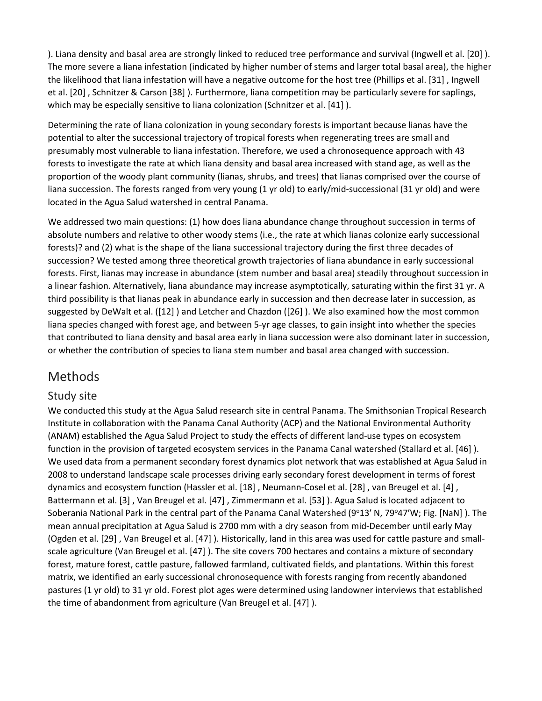). Liana density and basal area are strongly linked to reduced tree performance and survival (Ingwell et al. [20] ). The more severe a liana infestation (indicated by higher number of stems and larger total basal area), the higher the likelihood that liana infestation will have a negative outcome for the host tree (Phillips et al. [31] , Ingwell et al. [20] , Schnitzer & Carson [38] ). Furthermore, liana competition may be particularly severe for saplings, which may be especially sensitive to liana colonization (Schnitzer et al. [41]).

Determining the rate of liana colonization in young secondary forests is important because lianas have the potential to alter the successional trajectory of tropical forests when regenerating trees are small and presumably most vulnerable to liana infestation. Therefore, we used a chronosequence approach with 43 forests to investigate the rate at which liana density and basal area increased with stand age, as well as the proportion of the woody plant community (lianas, shrubs, and trees) that lianas comprised over the course of liana succession. The forests ranged from very young (1 yr old) to early/mid-successional (31 yr old) and were located in the Agua Salud watershed in central Panama.

We addressed two main questions: (1) how does liana abundance change throughout succession in terms of absolute numbers and relative to other woody stems (i.e., the rate at which lianas colonize early successional forests)? and (2) what is the shape of the liana successional trajectory during the first three decades of succession? We tested among three theoretical growth trajectories of liana abundance in early successional forests. First, lianas may increase in abundance (stem number and basal area) steadily throughout succession in a linear fashion. Alternatively, liana abundance may increase asymptotically, saturating within the first 31 yr. A third possibility is that lianas peak in abundance early in succession and then decrease later in succession, as suggested by DeWalt et al. ([12] ) and Letcher and Chazdon ([26] ). We also examined how the most common liana species changed with forest age, and between 5-yr age classes, to gain insight into whether the species that contributed to liana density and basal area early in liana succession were also dominant later in succession, or whether the contribution of species to liana stem number and basal area changed with succession.

# [Methods](https://0-web-b-ebscohost-com.libus.csd.mu.edu/ehost/detail/detail?vid=2&sid=d7b379ea-68ca-4f5f-a971-f592362fc14b%40pdc-v-sessmgr04&bdata=JnNpdGU9ZWhvc3QtbGl2ZQ%3d%3d#toc)

#### [Study site](https://0-web-b-ebscohost-com.libus.csd.mu.edu/ehost/detail/detail?vid=2&sid=d7b379ea-68ca-4f5f-a971-f592362fc14b%40pdc-v-sessmgr04&bdata=JnNpdGU9ZWhvc3QtbGl2ZQ%3d%3d#toc)

We conducted this study at the Agua Salud research site in central Panama. The Smithsonian Tropical Research Institute in collaboration with the Panama Canal Authority (ACP) and the National Environmental Authority (ANAM) established the Agua Salud Project to study the effects of different land-use types on ecosystem function in the provision of targeted ecosystem services in the Panama Canal watershed (Stallard et al. [46] ). We used data from a permanent secondary forest dynamics plot network that was established at Agua Salud in 2008 to understand landscape scale processes driving early secondary forest development in terms of forest dynamics and ecosystem function (Hassler et al. [18] , Neumann-Cosel et al. [28] , van Breugel et al. [4] , Battermann et al. [3] , Van Breugel et al. [47] , Zimmermann et al. [53] ). Agua Salud is located adjacent to Soberania National Park in the central part of the Panama Canal Watershed (9°13' N, 79°47'W; Fig. [NaN]). The mean annual precipitation at Agua Salud is 2700 mm with a dry season from mid-December until early May (Ogden et al. [29] , Van Breugel et al. [47] ). Historically, land in this area was used for cattle pasture and smallscale agriculture (Van Breugel et al. [47] ). The site covers 700 hectares and contains a mixture of secondary forest, mature forest, cattle pasture, fallowed farmland, cultivated fields, and plantations. Within this forest matrix, we identified an early successional chronosequence with forests ranging from recently abandoned pastures (1 yr old) to 31 yr old. Forest plot ages were determined using landowner interviews that established the time of abandonment from agriculture (Van Breugel et al. [47] ).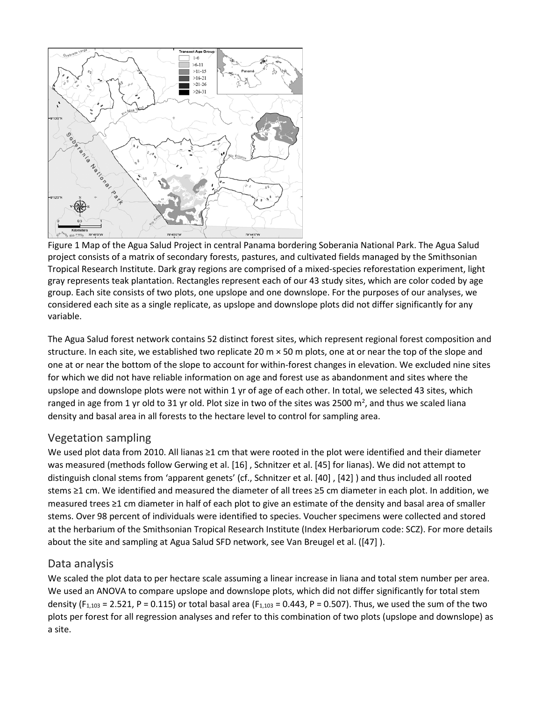

Figure 1 Map of the Agua Salud Project in central Panama bordering Soberania National Park. The Agua Salud project consists of a matrix of secondary forests, pastures, and cultivated fields managed by the Smithsonian Tropical Research Institute. Dark gray regions are comprised of a mixed-species reforestation experiment, light gray represents teak plantation. Rectangles represent each of our 43 study sites, which are color coded by age group. Each site consists of two plots, one upslope and one downslope. For the purposes of our analyses, we considered each site as a single replicate, as upslope and downslope plots did not differ significantly for any variable.

The Agua Salud forest network contains 52 distinct forest sites, which represent regional forest composition and structure. In each site, we established two replicate 20  $m \times 50$  m plots, one at or near the top of the slope and one at or near the bottom of the slope to account for within-forest changes in elevation. We excluded nine sites for which we did not have reliable information on age and forest use as abandonment and sites where the upslope and downslope plots were not within 1 yr of age of each other. In total, we selected 43 sites, which ranged in age from 1 yr old to 31 yr old. Plot size in two of the sites was 2500 m<sup>2</sup>, and thus we scaled liana density and basal area in all forests to the hectare level to control for sampling area.

#### [Vegetation sampling](https://0-web-b-ebscohost-com.libus.csd.mu.edu/ehost/detail/detail?vid=2&sid=d7b379ea-68ca-4f5f-a971-f592362fc14b%40pdc-v-sessmgr04&bdata=JnNpdGU9ZWhvc3QtbGl2ZQ%3d%3d#toc)

We used plot data from 2010. All lianas ≥1 cm that were rooted in the plot were identified and their diameter was measured (methods follow Gerwing et al. [16] , Schnitzer et al. [45] for lianas). We did not attempt to distinguish clonal stems from 'apparent genets' (cf., Schnitzer et al. [40] , [42] ) and thus included all rooted stems ≥1 cm. We identified and measured the diameter of all trees ≥5 cm diameter in each plot. In addition, we measured trees ≥1 cm diameter in half of each plot to give an estimate of the density and basal area of smaller stems. Over 98 percent of individuals were identified to species. Voucher specimens were collected and stored at the herbarium of the Smithsonian Tropical Research Institute (Index Herbariorum code: SCZ). For more details about the site and sampling at Agua Salud SFD network, see Van Breugel et al. ([47] ).

#### [Data analysis](https://0-web-b-ebscohost-com.libus.csd.mu.edu/ehost/detail/detail?vid=2&sid=d7b379ea-68ca-4f5f-a971-f592362fc14b%40pdc-v-sessmgr04&bdata=JnNpdGU9ZWhvc3QtbGl2ZQ%3d%3d#toc)

We scaled the plot data to per hectare scale assuming a linear increase in liana and total stem number per area. We used an ANOVA to compare upslope and downslope plots, which did not differ significantly for total stem density (F<sub>1,103</sub> = 2.521, P = 0.115) or total basal area (F<sub>1,103</sub> = 0.443, P = 0.507). Thus, we used the sum of the two plots per forest for all regression analyses and refer to this combination of two plots (upslope and downslope) as a site.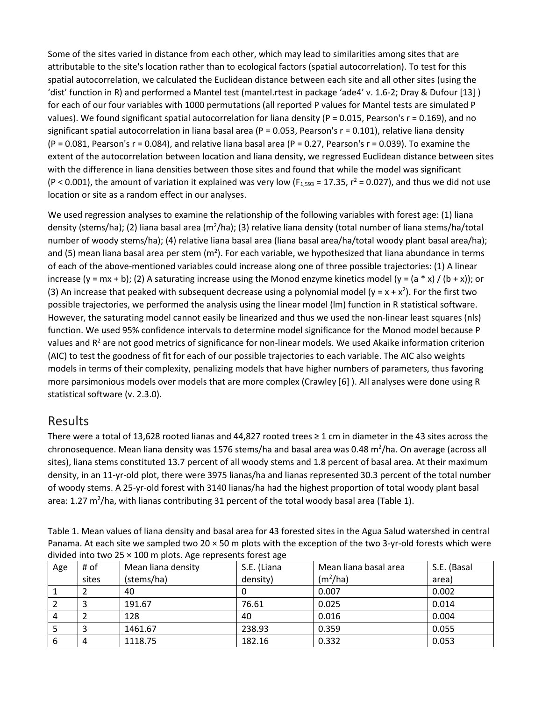Some of the sites varied in distance from each other, which may lead to similarities among sites that are attributable to the site's location rather than to ecological factors (spatial autocorrelation). To test for this spatial autocorrelation, we calculated the Euclidean distance between each site and all other sites (using the 'dist' function in R) and performed a Mantel test (mantel.rtest in package 'ade4' v. 1.6-2; Dray & Dufour [13] ) for each of our four variables with 1000 permutations (all reported P values for Mantel tests are simulated P values). We found significant spatial autocorrelation for liana density (P = 0.015, Pearson's  $r = 0.169$ ), and no significant spatial autocorrelation in liana basal area (P = 0.053, Pearson's  $r = 0.101$ ), relative liana density  $(P = 0.081,$  Pearson's r = 0.084), and relative liana basal area  $(P = 0.27,$  Pearson's r = 0.039). To examine the extent of the autocorrelation between location and liana density, we regressed Euclidean distance between sites with the difference in liana densities between those sites and found that while the model was significant  $(P < 0.001)$ , the amount of variation it explained was very low  $(F_{1,593} = 17.35, r^2 = 0.027)$ , and thus we did not use location or site as a random effect in our analyses.

We used regression analyses to examine the relationship of the following variables with forest age: (1) liana density (stems/ha); (2) liana basal area (m<sup>2</sup>/ha); (3) relative liana density (total number of liana stems/ha/total number of woody stems/ha); (4) relative liana basal area (liana basal area/ha/total woody plant basal area/ha); and (5) mean liana basal area per stem (m<sup>2</sup>). For each variable, we hypothesized that liana abundance in terms of each of the above-mentioned variables could increase along one of three possible trajectories: (1) A linear increase (y = mx + b); (2) A saturating increase using the Monod enzyme kinetics model (y = (a \* x) / (b + x)); or (3) An increase that peaked with subsequent decrease using a polynomial model ( $y = x + x^2$ ). For the first two possible trajectories, we performed the analysis using the linear model (lm) function in R statistical software. However, the saturating model cannot easily be linearized and thus we used the non-linear least squares (nls) function. We used 95% confidence intervals to determine model significance for the Monod model because P values and  $R<sup>2</sup>$  are not good metrics of significance for non-linear models. We used Akaike information criterion (AIC) to test the goodness of fit for each of our possible trajectories to each variable. The AIC also weights models in terms of their complexity, penalizing models that have higher numbers of parameters, thus favoring more parsimonious models over models that are more complex (Crawley [6] ). All analyses were done using R statistical software (v. 2.3.0).

#### [Results](https://0-web-b-ebscohost-com.libus.csd.mu.edu/ehost/detail/detail?vid=2&sid=d7b379ea-68ca-4f5f-a971-f592362fc14b%40pdc-v-sessmgr04&bdata=JnNpdGU9ZWhvc3QtbGl2ZQ%3d%3d#toc)

There were a total of 13,628 rooted lianas and 44,827 rooted trees ≥ 1 cm in diameter in the 43 sites across the chronosequence. Mean liana density was 1576 stems/ha and basal area was 0.48 m<sup>2</sup>/ha. On average (across all sites), liana stems constituted 13.7 percent of all woody stems and 1.8 percent of basal area. At their maximum density, in an 11-yr-old plot, there were 3975 lianas/ha and lianas represented 30.3 percent of the total number of woody stems. A 25-yr-old forest with 3140 lianas/ha had the highest proportion of total woody plant basal area: 1.27 m<sup>2</sup>/ha, with lianas contributing 31 percent of the total woody basal area (Table 1).

Table 1. Mean values of liana density and basal area for 43 forested sites in the Agua Salud watershed in central Panama. At each site we sampled two 20 × 50 m plots with the exception of the two 3-yr-old forests which were divided into two  $25 \times 100$  m plots. Age represents forest age

| Age | # of  | Mean liana density | S.E. (Liana | Mean liana basal area | S.E. (Basal |
|-----|-------|--------------------|-------------|-----------------------|-------------|
|     | sites | (stems/ha)         | density)    | (m <sup>2</sup> /ha)  | area)       |
|     |       | 40                 |             | 0.007                 | 0.002       |
|     |       | 191.67             | 76.61       | 0.025                 | 0.014       |
| 4   |       | 128                | 40          | 0.016                 | 0.004       |
|     |       | 1461.67            | 238.93      | 0.359                 | 0.055       |
| 6   | 4     | 1118.75            | 182.16      | 0.332                 | 0.053       |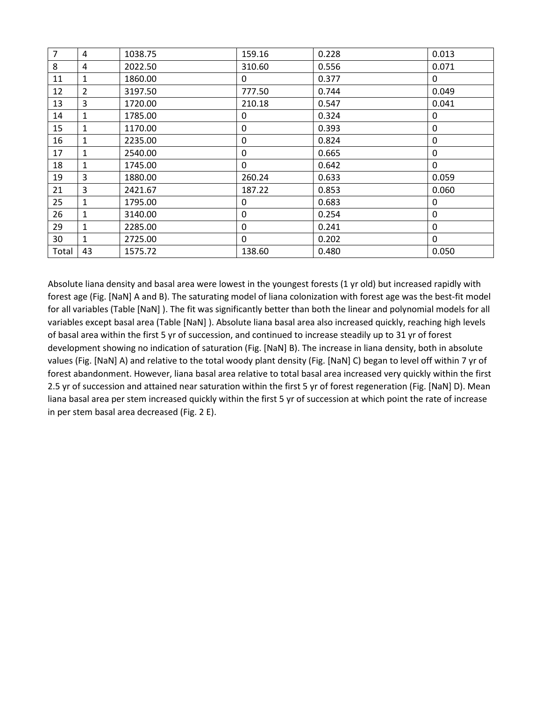| $\overline{7}$ | 4              | 1038.75 | 159.16       | 0.228 | 0.013        |
|----------------|----------------|---------|--------------|-------|--------------|
| 8              | 4              | 2022.50 | 310.60       | 0.556 | 0.071        |
| 11             | 1              | 1860.00 | 0            | 0.377 | 0            |
| 12             | $\overline{2}$ | 3197.50 | 777.50       | 0.744 | 0.049        |
| 13             | 3              | 1720.00 | 210.18       | 0.547 | 0.041        |
| 14             | 1              | 1785.00 | 0            | 0.324 | 0            |
| 15             | 1              | 1170.00 | 0            | 0.393 | $\Omega$     |
| 16             | 1              | 2235.00 | 0            | 0.824 | 0            |
| 17             | 1              | 2540.00 | 0            | 0.665 | 0            |
| 18             | 1              | 1745.00 | $\mathbf{0}$ | 0.642 | $\mathbf{0}$ |
| 19             | 3              | 1880.00 | 260.24       | 0.633 | 0.059        |
| 21             | 3              | 2421.67 | 187.22       | 0.853 | 0.060        |
| 25             | $\mathbf{1}$   | 1795.00 | 0            | 0.683 | 0            |
| 26             | $\mathbf{1}$   | 3140.00 | 0            | 0.254 | 0            |
| 29             | 1              | 2285.00 | 0            | 0.241 | $\Omega$     |
| 30             | $\mathbf{1}$   | 2725.00 | $\mathbf 0$  | 0.202 | $\mathbf 0$  |
| Total          | 43             | 1575.72 | 138.60       | 0.480 | 0.050        |

Absolute liana density and basal area were lowest in the youngest forests (1 yr old) but increased rapidly with forest age (Fig. [NaN] A and B). The saturating model of liana colonization with forest age was the best-fit model for all variables (Table [NaN] ). The fit was significantly better than both the linear and polynomial models for all variables except basal area (Table [NaN] ). Absolute liana basal area also increased quickly, reaching high levels of basal area within the first 5 yr of succession, and continued to increase steadily up to 31 yr of forest development showing no indication of saturation (Fig. [NaN] B). The increase in liana density, both in absolute values (Fig. [NaN] A) and relative to the total woody plant density (Fig. [NaN] C) began to level off within 7 yr of forest abandonment. However, liana basal area relative to total basal area increased very quickly within the first 2.5 yr of succession and attained near saturation within the first 5 yr of forest regeneration (Fig. [NaN] D). Mean liana basal area per stem increased quickly within the first 5 yr of succession at which point the rate of increase in per stem basal area decreased (Fig. 2 E).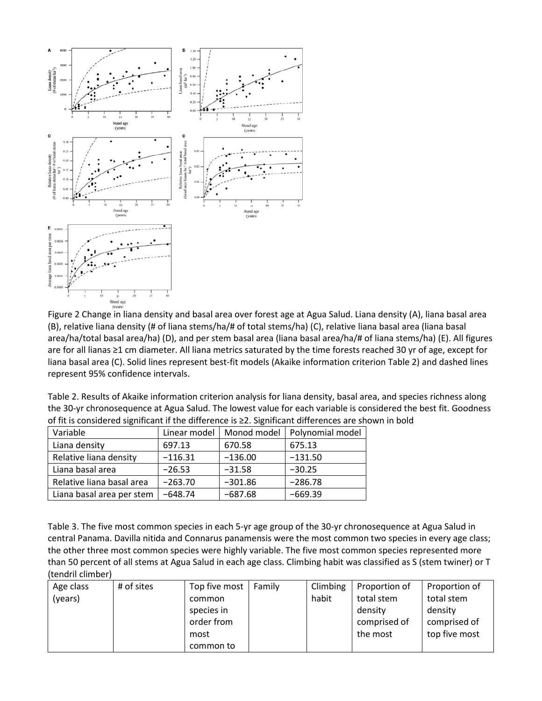

Figure 2 Change in liana density and basal area over forest age at Agua Salud. Liana density (A), liana basal area (B), relative liana density (# of liana stems/ha/# of total stems/ha) (C), relative liana basal area (liana basal area/ha/total basal area/ha) (D), and per stem basal area (liana basal area/ha/# of liana stems/ha) (E). All figures are for all lianas ≥1 cm diameter. All liana metrics saturated by the time forests reached 30 yr of age, except for liana basal area (C). Solid lines represent best-fit models (Akaike information criterion Table 2) and dashed lines represent 95% confidence intervals.

| Table 2. Results of Akaike information criterion analysis for liana density, basal area, and species richness along |
|---------------------------------------------------------------------------------------------------------------------|
| the 30-yr chronosequence at Agua Salud. The lowest value for each variable is considered the best fit. Goodness     |
| of fit is considered significant if the difference is $\geq 2$ . Significant differences are shown in bold          |

| Variable                  | Linear model | Monod model | Polynomial model |  |
|---------------------------|--------------|-------------|------------------|--|
| Liana density             | 697.13       | 670.58      | 675.13           |  |
| Relative liana density    | $-116.31$    | $-136.00$   | $-131.50$        |  |
| Liana basal area          | $-26.53$     | $-31.58$    | $-30.25$         |  |
| Relative liana basal area | $-263.70$    | $-301.86$   | $-286.78$        |  |
| Liana basal area per stem | $-648.74$    | $-687.68$   | $-669.39$        |  |

Table 3. The five most common species in each 5-yr age group of the 30-yr chronosequence at Agua Salud in central Panama. Davilla nitida and Connarus panamensis were the most common two species in every age class; the other three most common species were highly variable. The five most common species represented more than 50 percent of all stems at Agua Salud in each age class. Climbing habit was classified as S (stem twiner) or T (tendril climber)

| Age class | # of sites | Top five most | Family | Climbing | Proportion of | Proportion of |
|-----------|------------|---------------|--------|----------|---------------|---------------|
| (years)   |            | common        |        | habit    | total stem    | total stem    |
|           |            | species in    |        |          | density       | density       |
|           |            | order from    |        |          | comprised of  | comprised of  |
|           |            | most          |        |          | the most      | top five most |
|           |            | common to     |        |          |               |               |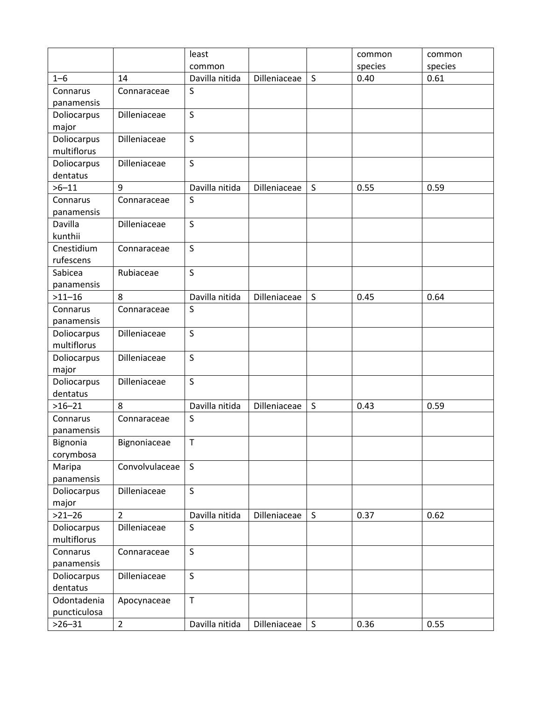|              |                | least          |              |              | common  | common  |
|--------------|----------------|----------------|--------------|--------------|---------|---------|
|              |                | common         |              |              | species | species |
| $1 - 6$      | 14             | Davilla nitida | Dilleniaceae | S            | 0.40    | 0.61    |
| Connarus     | Connaraceae    | S              |              |              |         |         |
| panamensis   |                |                |              |              |         |         |
| Doliocarpus  | Dilleniaceae   | $\mathsf S$    |              |              |         |         |
| major        |                |                |              |              |         |         |
| Doliocarpus  | Dilleniaceae   | $\sf S$        |              |              |         |         |
| multiflorus  |                |                |              |              |         |         |
| Doliocarpus  | Dilleniaceae   | $\mathsf{S}$   |              |              |         |         |
| dentatus     |                |                |              |              |         |         |
| $>6 - 11$    | 9              | Davilla nitida | Dilleniaceae | S            | 0.55    | 0.59    |
| Connarus     | Connaraceae    | $\sf S$        |              |              |         |         |
| panamensis   |                |                |              |              |         |         |
| Davilla      | Dilleniaceae   | $\sf S$        |              |              |         |         |
| kunthii      |                |                |              |              |         |         |
| Cnestidium   | Connaraceae    | $\sf S$        |              |              |         |         |
| rufescens    |                |                |              |              |         |         |
| Sabicea      | Rubiaceae      | S              |              |              |         |         |
| panamensis   |                |                |              |              |         |         |
| $>11 - 16$   | 8              | Davilla nitida | Dilleniaceae | S            | 0.45    | 0.64    |
| Connarus     | Connaraceae    | S              |              |              |         |         |
| panamensis   |                |                |              |              |         |         |
| Doliocarpus  | Dilleniaceae   | $\sf S$        |              |              |         |         |
| multiflorus  |                |                |              |              |         |         |
| Doliocarpus  | Dilleniaceae   | S              |              |              |         |         |
| major        |                |                |              |              |         |         |
| Doliocarpus  | Dilleniaceae   | S              |              |              |         |         |
| dentatus     |                |                |              |              |         |         |
| $>16 - 21$   | 8              | Davilla nitida | Dilleniaceae | S            | 0.43    | 0.59    |
| Connarus     | Connaraceae    | $\sf S$        |              |              |         |         |
| panamensis   |                |                |              |              |         |         |
| Bignonia     | Bignoniaceae   | T              |              |              |         |         |
| corymbosa    |                |                |              |              |         |         |
| Maripa       | Convolvulaceae | $\mathsf S$    |              |              |         |         |
| panamensis   |                |                |              |              |         |         |
| Doliocarpus  | Dilleniaceae   | S              |              |              |         |         |
| major        |                |                |              |              |         |         |
| $>21-26$     | $\overline{2}$ | Davilla nitida | Dilleniaceae | $\mathsf{S}$ | 0.37    | 0.62    |
| Doliocarpus  | Dilleniaceae   | S              |              |              |         |         |
| multiflorus  |                |                |              |              |         |         |
| Connarus     | Connaraceae    | $\mathsf S$    |              |              |         |         |
| panamensis   |                |                |              |              |         |         |
| Doliocarpus  | Dilleniaceae   | $\mathsf S$    |              |              |         |         |
| dentatus     |                |                |              |              |         |         |
| Odontadenia  | Apocynaceae    | $\mathsf T$    |              |              |         |         |
| puncticulosa |                |                |              |              |         |         |
| $>26 - 31$   | $\overline{2}$ | Davilla nitida | Dilleniaceae | $\mathsf S$  | 0.36    | 0.55    |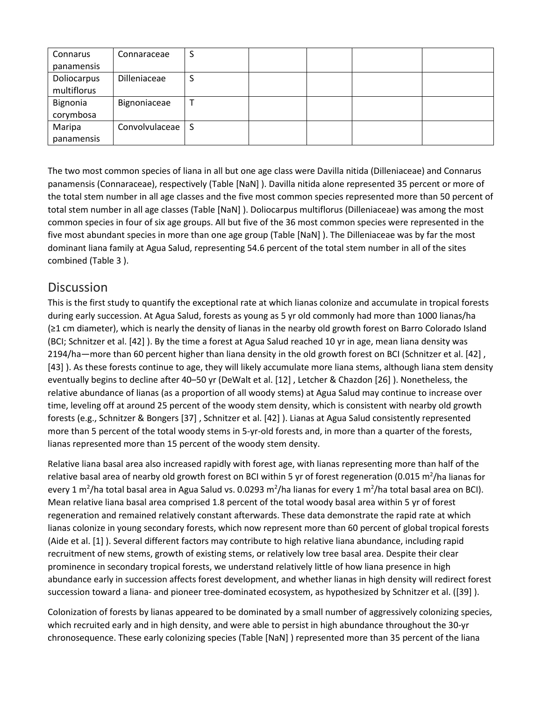| Connarus    | Connaraceae    |   |  |  |
|-------------|----------------|---|--|--|
| panamensis  |                |   |  |  |
| Doliocarpus | Dilleniaceae   | ت |  |  |
| multiflorus |                |   |  |  |
| Bignonia    | Bignoniaceae   |   |  |  |
| corymbosa   |                |   |  |  |
| Maripa      | Convolvulaceae | S |  |  |
| panamensis  |                |   |  |  |

The two most common species of liana in all but one age class were Davilla nitida (Dilleniaceae) and Connarus panamensis (Connaraceae), respectively (Table [NaN] ). Davilla nitida alone represented 35 percent or more of the total stem number in all age classes and the five most common species represented more than 50 percent of total stem number in all age classes (Table [NaN] ). Doliocarpus multiflorus (Dilleniaceae) was among the most common species in four of six age groups. All but five of the 36 most common species were represented in the five most abundant species in more than one age group (Table [NaN] ). The Dilleniaceae was by far the most dominant liana family at Agua Salud, representing 54.6 percent of the total stem number in all of the sites combined (Table 3 ).

## **[Discussion](https://0-web-b-ebscohost-com.libus.csd.mu.edu/ehost/detail/detail?vid=2&sid=d7b379ea-68ca-4f5f-a971-f592362fc14b%40pdc-v-sessmgr04&bdata=JnNpdGU9ZWhvc3QtbGl2ZQ%3d%3d#toc)**

This is the first study to quantify the exceptional rate at which lianas colonize and accumulate in tropical forests during early succession. At Agua Salud, forests as young as 5 yr old commonly had more than 1000 lianas/ha (≥1 cm diameter), which is nearly the density of lianas in the nearby old growth forest on Barro Colorado Island (BCI; Schnitzer et al. [42] ). By the time a forest at Agua Salud reached 10 yr in age, mean liana density was 2194/ha—more than 60 percent higher than liana density in the old growth forest on BCI (Schnitzer et al. [42] , [43] ). As these forests continue to age, they will likely accumulate more liana stems, although liana stem density eventually begins to decline after 40–50 yr (DeWalt et al. [12] , Letcher & Chazdon [26] ). Nonetheless, the relative abundance of lianas (as a proportion of all woody stems) at Agua Salud may continue to increase over time, leveling off at around 25 percent of the woody stem density, which is consistent with nearby old growth forests (e.g., Schnitzer & Bongers [37] , Schnitzer et al. [42] ). Lianas at Agua Salud consistently represented more than 5 percent of the total woody stems in 5-yr-old forests and, in more than a quarter of the forests, lianas represented more than 15 percent of the woody stem density.

Relative liana basal area also increased rapidly with forest age, with lianas representing more than half of the relative basal area of nearby old growth forest on BCI within 5 yr of forest regeneration (0.015 m<sup>2</sup>/ha lianas for every 1 m<sup>2</sup>/ha total basal area in Agua Salud vs. 0.0293 m<sup>2</sup>/ha lianas for every 1 m<sup>2</sup>/ha total basal area on BCI). Mean relative liana basal area comprised 1.8 percent of the total woody basal area within 5 yr of forest regeneration and remained relatively constant afterwards. These data demonstrate the rapid rate at which lianas colonize in young secondary forests, which now represent more than 60 percent of global tropical forests (Aide et al. [1] ). Several different factors may contribute to high relative liana abundance, including rapid recruitment of new stems, growth of existing stems, or relatively low tree basal area. Despite their clear prominence in secondary tropical forests, we understand relatively little of how liana presence in high abundance early in succession affects forest development, and whether lianas in high density will redirect forest succession toward a liana- and pioneer tree-dominated ecosystem, as hypothesized by Schnitzer et al. ([39] ).

Colonization of forests by lianas appeared to be dominated by a small number of aggressively colonizing species, which recruited early and in high density, and were able to persist in high abundance throughout the 30-yr chronosequence. These early colonizing species (Table [NaN] ) represented more than 35 percent of the liana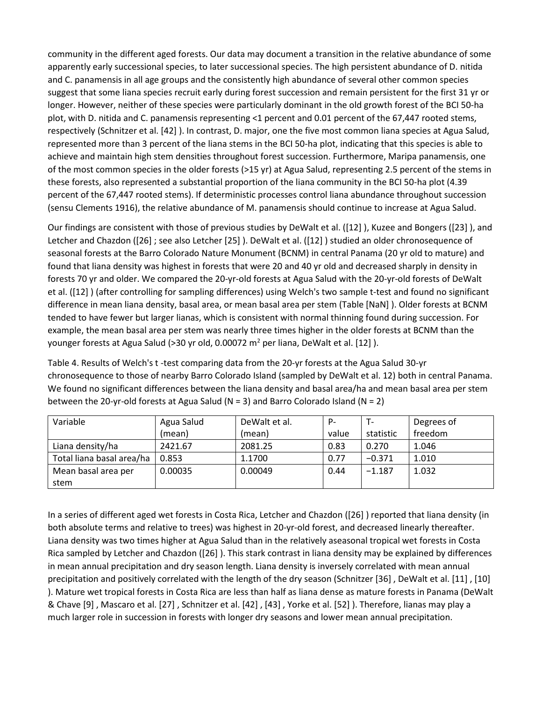community in the different aged forests. Our data may document a transition in the relative abundance of some apparently early successional species, to later successional species. The high persistent abundance of D. nitida and C. panamensis in all age groups and the consistently high abundance of several other common species suggest that some liana species recruit early during forest succession and remain persistent for the first 31 yr or longer. However, neither of these species were particularly dominant in the old growth forest of the BCI 50-ha plot, with D. nitida and C. panamensis representing <1 percent and 0.01 percent of the 67,447 rooted stems, respectively (Schnitzer et al. [42] ). In contrast, D. major, one the five most common liana species at Agua Salud, represented more than 3 percent of the liana stems in the BCI 50-ha plot, indicating that this species is able to achieve and maintain high stem densities throughout forest succession. Furthermore, Maripa panamensis, one of the most common species in the older forests (>15 yr) at Agua Salud, representing 2.5 percent of the stems in these forests, also represented a substantial proportion of the liana community in the BCI 50-ha plot (4.39 percent of the 67,447 rooted stems). If deterministic processes control liana abundance throughout succession (sensu Clements 1916), the relative abundance of M. panamensis should continue to increase at Agua Salud.

Our findings are consistent with those of previous studies by DeWalt et al. ([12] ), Kuzee and Bongers ([23] ), and Letcher and Chazdon ([26] ; see also Letcher [25] ). DeWalt et al. ([12] ) studied an older chronosequence of seasonal forests at the Barro Colorado Nature Monument (BCNM) in central Panama (20 yr old to mature) and found that liana density was highest in forests that were 20 and 40 yr old and decreased sharply in density in forests 70 yr and older. We compared the 20-yr-old forests at Agua Salud with the 20-yr-old forests of DeWalt et al. ([12] ) (after controlling for sampling differences) using Welch's two sample t-test and found no significant difference in mean liana density, basal area, or mean basal area per stem (Table [NaN] ). Older forests at BCNM tended to have fewer but larger lianas, which is consistent with normal thinning found during succession. For example, the mean basal area per stem was nearly three times higher in the older forests at BCNM than the younger forests at Agua Salud (>30 yr old, 0.00072 m<sup>2</sup> per liana, DeWalt et al. [12] ).

Table 4. Results of Welch's t -test comparing data from the 20-yr forests at the Agua Salud 30-yr chronosequence to those of nearby Barro Colorado Island (sampled by DeWalt et al. 12) both in central Panama. We found no significant differences between the liana density and basal area/ha and mean basal area per stem between the 20-yr-old forests at Agua Salud (N = 3) and Barro Colorado Island (N = 2)

| Variable                  | Agua Salud | DeWalt et al. | $P -$ |           | Degrees of |
|---------------------------|------------|---------------|-------|-----------|------------|
|                           | (mean)     | (mean)        | value | statistic | freedom    |
| Liana density/ha          | 2421.67    | 2081.25       | 0.83  | 0.270     | 1.046      |
| Total liana basal area/ha | 0.853      | 1.1700        | 0.77  | $-0.371$  | 1.010      |
| Mean basal area per       | 0.00035    | 0.00049       | 0.44  | $-1.187$  | 1.032      |
| stem                      |            |               |       |           |            |

In a series of different aged wet forests in Costa Rica, Letcher and Chazdon ([26] ) reported that liana density (in both absolute terms and relative to trees) was highest in 20-yr-old forest, and decreased linearly thereafter. Liana density was two times higher at Agua Salud than in the relatively aseasonal tropical wet forests in Costa Rica sampled by Letcher and Chazdon ([26] ). This stark contrast in liana density may be explained by differences in mean annual precipitation and dry season length. Liana density is inversely correlated with mean annual precipitation and positively correlated with the length of the dry season (Schnitzer [36] , DeWalt et al. [11] , [10] ). Mature wet tropical forests in Costa Rica are less than half as liana dense as mature forests in Panama (DeWalt & Chave [9] , Mascaro et al. [27] , Schnitzer et al. [42] , [43] , Yorke et al. [52] ). Therefore, lianas may play a much larger role in succession in forests with longer dry seasons and lower mean annual precipitation.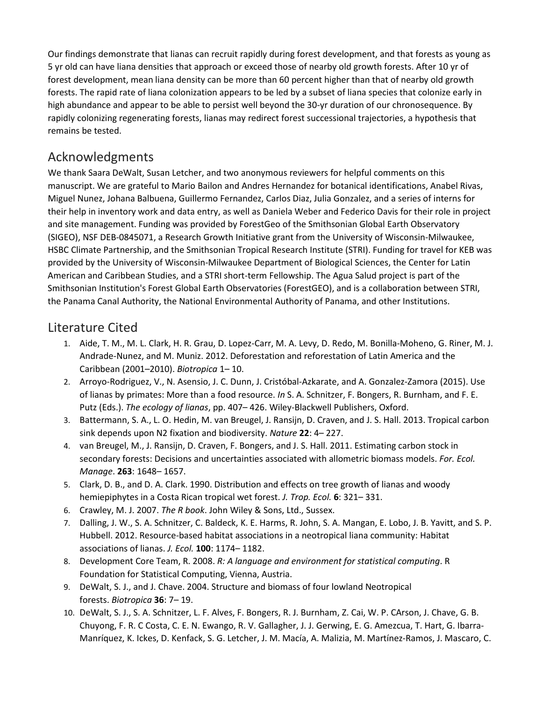Our findings demonstrate that lianas can recruit rapidly during forest development, and that forests as young as 5 yr old can have liana densities that approach or exceed those of nearby old growth forests. After 10 yr of forest development, mean liana density can be more than 60 percent higher than that of nearby old growth forests. The rapid rate of liana colonization appears to be led by a subset of liana species that colonize early in high abundance and appear to be able to persist well beyond the 30-yr duration of our chronosequence. By rapidly colonizing regenerating forests, lianas may redirect forest successional trajectories, a hypothesis that remains be tested.

# [Acknowledgments](https://0-web-b-ebscohost-com.libus.csd.mu.edu/ehost/detail/detail?vid=2&sid=d7b379ea-68ca-4f5f-a971-f592362fc14b%40pdc-v-sessmgr04&bdata=JnNpdGU9ZWhvc3QtbGl2ZQ%3d%3d#toc)

We thank Saara DeWalt, Susan Letcher, and two anonymous reviewers for helpful comments on this manuscript. We are grateful to Mario Bailon and Andres Hernandez for botanical identifications, Anabel Rivas, Miguel Nunez, Johana Balbuena, Guillermo Fernandez, Carlos Diaz, Julia Gonzalez, and a series of interns for their help in inventory work and data entry, as well as Daniela Weber and Federico Davis for their role in project and site management. Funding was provided by ForestGeo of the Smithsonian Global Earth Observatory (SIGEO), NSF DEB-0845071, a Research Growth Initiative grant from the University of Wisconsin-Milwaukee, HSBC Climate Partnership, and the Smithsonian Tropical Research Institute (STRI). Funding for travel for KEB was provided by the University of Wisconsin-Milwaukee Department of Biological Sciences, the Center for Latin American and Caribbean Studies, and a STRI short-term Fellowship. The Agua Salud project is part of the Smithsonian Institution's Forest Global Earth Observatories (ForestGEO), and is a collaboration between STRI, the Panama Canal Authority, the National Environmental Authority of Panama, and other Institutions.

# [Literature Cited](https://0-web-b-ebscohost-com.libus.csd.mu.edu/ehost/detail/detail?vid=2&sid=d7b379ea-68ca-4f5f-a971-f592362fc14b%40pdc-v-sessmgr04&bdata=JnNpdGU9ZWhvc3QtbGl2ZQ%3d%3d#toc)

- 1. Aide, T. M., M. L. Clark, H. R. Grau, D. Lopez-Carr, M. A. Levy, D. Redo, M. Bonilla-Moheno, G. Riner, M. J. Andrade-Nunez, and M. Muniz. 2012. Deforestation and reforestation of Latin America and the Caribbean (2001–2010). *Biotropica* 1– 10.
- 2. Arroyo-Rodriguez, V., N. Asensio, J. C. Dunn, J. Cristóbal-Azkarate, and A. Gonzalez-Zamora (2015). Use of lianas by primates: More than a food resource. *In* S. A. Schnitzer, F. Bongers, R. Burnham, and F. E. Putz (Eds.). *The ecology of lianas*, pp. 407– 426. Wiley-Blackwell Publishers, Oxford.
- 3. Battermann, S. A., L. O. Hedin, M. van Breugel, J. Ransijn, D. Craven, and J. S. Hall. 2013. Tropical carbon sink depends upon N2 fixation and biodiversity. *Nature* **22**: 4– 227.
- 4. van Breugel, M., J. Ransijn, D. Craven, F. Bongers, and J. S. Hall. 2011. Estimating carbon stock in secondary forests: Decisions and uncertainties associated with allometric biomass models. *For. Ecol. Manage*. **263**: 1648– 1657.
- 5. Clark, D. B., and D. A. Clark. 1990. Distribution and effects on tree growth of lianas and woody hemiepiphytes in a Costa Rican tropical wet forest. *J. Trop. Ecol.* **6**: 321– 331.
- 6. Crawley, M. J. 2007. *The R book*. John Wiley & Sons, Ltd., Sussex.
- 7. Dalling, J. W., S. A. Schnitzer, C. Baldeck, K. E. Harms, R. John, S. A. Mangan, E. Lobo, J. B. Yavitt, and S. P. Hubbell. 2012. Resource-based habitat associations in a neotropical liana community: Habitat associations of lianas. *J. Ecol.* **100**: 1174– 1182.
- 8. Development Core Team, R. 2008. *R: A language and environment for statistical computing*. R Foundation for Statistical Computing, Vienna, Austria.
- 9. DeWalt, S. J., and J. Chave. 2004. Structure and biomass of four lowland Neotropical forests. *Biotropica* **36**: 7– 19.
- 10. DeWalt, S. J., S. A. Schnitzer, L. F. Alves, F. Bongers, R. J. Burnham, Z. Cai, W. P. CArson, J. Chave, G. B. Chuyong, F. R. C Costa, C. E. N. Ewango, R. V. Gallagher, J. J. Gerwing, E. G. Amezcua, T. Hart, G. Ibarra-Manríquez, K. Ickes, D. Kenfack, S. G. Letcher, J. M. Macía, A. Malizia, M. Martínez-Ramos, J. Mascaro, C.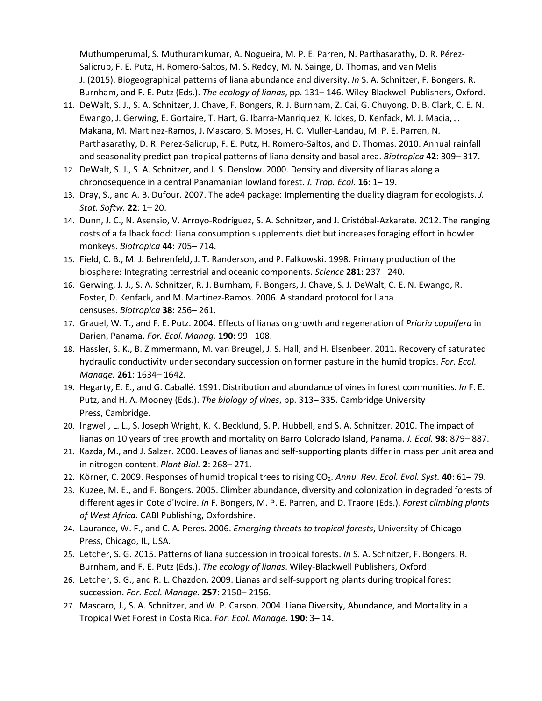Muthumperumal, S. Muthuramkumar, A. Nogueira, M. P. E. Parren, N. Parthasarathy, D. R. Pérez-Salicrup, F. E. Putz, H. Romero-Saltos, M. S. Reddy, M. N. Sainge, D. Thomas, and van Melis J. (2015). Biogeographical patterns of liana abundance and diversity. *In* S. A. Schnitzer, F. Bongers, R. Burnham, and F. E. Putz (Eds.). *The ecology of lianas*, pp. 131– 146. Wiley-Blackwell Publishers, Oxford.

- 11. DeWalt, S. J., S. A. Schnitzer, J. Chave, F. Bongers, R. J. Burnham, Z. Cai, G. Chuyong, D. B. Clark, C. E. N. Ewango, J. Gerwing, E. Gortaire, T. Hart, G. Ibarra-Manriquez, K. Ickes, D. Kenfack, M. J. Macia, J. Makana, M. Martinez-Ramos, J. Mascaro, S. Moses, H. C. Muller-Landau, M. P. E. Parren, N. Parthasarathy, D. R. Perez-Salicrup, F. E. Putz, H. Romero-Saltos, and D. Thomas. 2010. Annual rainfall and seasonality predict pan-tropical patterns of liana density and basal area. *Biotropica* **42**: 309– 317.
- 12. DeWalt, S. J., S. A. Schnitzer, and J. S. Denslow. 2000. Density and diversity of lianas along a chronosequence in a central Panamanian lowland forest. *J. Trop. Ecol.* **16**: 1– 19.
- 13. Dray, S., and A. B. Dufour. 2007. The ade4 package: Implementing the duality diagram for ecologists. *J. Stat. Softw.* **22**: 1– 20.
- 14. Dunn, J. C., N. Asensio, V. Arroyo-Rodríguez, S. A. Schnitzer, and J. Cristóbal-Azkarate. 2012. The ranging costs of a fallback food: Liana consumption supplements diet but increases foraging effort in howler monkeys. *Biotropica* **44**: 705– 714.
- 15. Field, C. B., M. J. Behrenfeld, J. T. Randerson, and P. Falkowski. 1998. Primary production of the biosphere: Integrating terrestrial and oceanic components. *Science* **281**: 237– 240.
- 16. Gerwing, J. J., S. A. Schnitzer, R. J. Burnham, F. Bongers, J. Chave, S. J. DeWalt, C. E. N. Ewango, R. Foster, D. Kenfack, and M. Martínez-Ramos. 2006. A standard protocol for liana censuses. *Biotropica* **38**: 256– 261.
- 17. Grauel, W. T., and F. E. Putz. 2004. Effects of lianas on growth and regeneration of *Prioria copaifera* in Darien, Panama. *For. Ecol. Manag.* **190**: 99– 108.
- 18. Hassler, S. K., B. Zimmermann, M. van Breugel, J. S. Hall, and H. Elsenbeer. 2011. Recovery of saturated hydraulic conductivity under secondary succession on former pasture in the humid tropics. *For. Ecol. Manage.* **261**: 1634– 1642.
- 19. Hegarty, E. E., and G. Caballé. 1991. Distribution and abundance of vines in forest communities. *In* F. E. Putz, and H. A. Mooney (Eds.). *The biology of vines*, pp. 313– 335. Cambridge University Press, Cambridge.
- 20. Ingwell, L. L., S. Joseph Wright, K. K. Becklund, S. P. Hubbell, and S. A. Schnitzer. 2010. The impact of lianas on 10 years of tree growth and mortality on Barro Colorado Island, Panama. *J. Ecol.* **98**: 879– 887.
- 21. Kazda, M., and J. Salzer. 2000. Leaves of lianas and self-supporting plants differ in mass per unit area and in nitrogen content. *Plant Biol.* **2**: 268– 271.
- 22. Körner, C. 2009. Responses of humid tropical trees to rising CO<sub>2</sub>. Annu. Rev. Ecol. Evol. Syst. 40: 61-79.
- 23. Kuzee, M. E., and F. Bongers. 2005. Climber abundance, diversity and colonization in degraded forests of different ages in Cote d'Ivoire. *In* F. Bongers, M. P. E. Parren, and D. Traore (Eds.). *Forest climbing plants of West Africa*. CABI Publishing, Oxfordshire.
- 24. Laurance, W. F., and C. A. Peres. 2006. *Emerging threats to tropical forests*, University of Chicago Press, Chicago, IL, USA.
- 25. Letcher, S. G. 2015. Patterns of liana succession in tropical forests. *In* S. A. Schnitzer, F. Bongers, R. Burnham, and F. E. Putz (Eds.). *The ecology of lianas*. Wiley-Blackwell Publishers, Oxford.
- 26. Letcher, S. G., and R. L. Chazdon. 2009. Lianas and self-supporting plants during tropical forest succession. *For. Ecol. Manage.* **257**: 2150– 2156.
- 27. Mascaro, J., S. A. Schnitzer, and W. P. Carson. 2004. Liana Diversity, Abundance, and Mortality in a Tropical Wet Forest in Costa Rica. *For. Ecol. Manage.* **190**: 3– 14.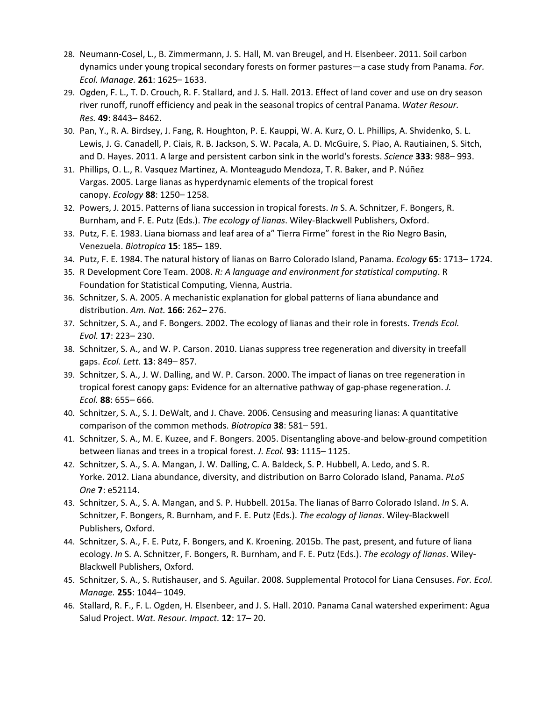- 28. Neumann-Cosel, L., B. Zimmermann, J. S. Hall, M. van Breugel, and H. Elsenbeer. 2011. Soil carbon dynamics under young tropical secondary forests on former pastures—a case study from Panama. *For. Ecol. Manage.* **261**: 1625– 1633.
- 29. Ogden, F. L., T. D. Crouch, R. F. Stallard, and J. S. Hall. 2013. Effect of land cover and use on dry season river runoff, runoff efficiency and peak in the seasonal tropics of central Panama. *Water Resour. Res.* **49**: 8443– 8462.
- 30. Pan, Y., R. A. Birdsey, J. Fang, R. Houghton, P. E. Kauppi, W. A. Kurz, O. L. Phillips, A. Shvidenko, S. L. Lewis, J. G. Canadell, P. Ciais, R. B. Jackson, S. W. Pacala, A. D. McGuire, S. Piao, A. Rautiainen, S. Sitch, and D. Hayes. 2011. A large and persistent carbon sink in the world's forests. *Science* **333**: 988– 993.
- 31. Phillips, O. L., R. Vasquez Martinez, A. Monteagudo Mendoza, T. R. Baker, and P. Núñez Vargas. 2005. Large lianas as hyperdynamic elements of the tropical forest canopy. *Ecology* **88**: 1250– 1258.
- 32. Powers, J. 2015. Patterns of liana succession in tropical forests. *In* S. A. Schnitzer, F. Bongers, R. Burnham, and F. E. Putz (Eds.). *The ecology of lianas*. Wiley-Blackwell Publishers, Oxford.
- 33. Putz, F. E. 1983. Liana biomass and leaf area of a" Tierra Firme" forest in the Rio Negro Basin, Venezuela. *Biotropica* **15**: 185– 189.
- 34. Putz, F. E. 1984. The natural history of lianas on Barro Colorado Island, Panama. *Ecology* **65**: 1713– 1724.
- 35. R Development Core Team. 2008. *R: A language and environment for statistical computing*. R Foundation for Statistical Computing, Vienna, Austria.
- 36. Schnitzer, S. A. 2005. A mechanistic explanation for global patterns of liana abundance and distribution. *Am. Nat.* **166**: 262– 276.
- 37. Schnitzer, S. A., and F. Bongers. 2002. The ecology of lianas and their role in forests. *Trends Ecol. Evol.* **17**: 223– 230.
- 38. Schnitzer, S. A., and W. P. Carson. 2010. Lianas suppress tree regeneration and diversity in treefall gaps. *Ecol. Lett.* **13**: 849– 857.
- 39. Schnitzer, S. A., J. W. Dalling, and W. P. Carson. 2000. The impact of lianas on tree regeneration in tropical forest canopy gaps: Evidence for an alternative pathway of gap-phase regeneration. *J. Ecol.* **88**: 655– 666.
- 40. Schnitzer, S. A., S. J. DeWalt, and J. Chave. 2006. Censusing and measuring lianas: A quantitative comparison of the common methods. *Biotropica* **38**: 581– 591.
- 41. Schnitzer, S. A., M. E. Kuzee, and F. Bongers. 2005. Disentangling above-and below-ground competition between lianas and trees in a tropical forest. *J. Ecol.* **93**: 1115– 1125.
- 42. Schnitzer, S. A., S. A. Mangan, J. W. Dalling, C. A. Baldeck, S. P. Hubbell, A. Ledo, and S. R. Yorke. 2012. Liana abundance, diversity, and distribution on Barro Colorado Island, Panama. *PLoS One* **7**: e52114.
- 43. Schnitzer, S. A., S. A. Mangan, and S. P. Hubbell. 2015a. The lianas of Barro Colorado Island. *In* S. A. Schnitzer, F. Bongers, R. Burnham, and F. E. Putz (Eds.). *The ecology of lianas*. Wiley-Blackwell Publishers, Oxford.
- 44. Schnitzer, S. A., F. E. Putz, F. Bongers, and K. Kroening. 2015b. The past, present, and future of liana ecology. *In* S. A. Schnitzer, F. Bongers, R. Burnham, and F. E. Putz (Eds.). *The ecology of lianas*. Wiley-Blackwell Publishers, Oxford.
- 45. Schnitzer, S. A., S. Rutishauser, and S. Aguilar. 2008. Supplemental Protocol for Liana Censuses. *For. Ecol. Manage.* **255**: 1044– 1049.
- 46. Stallard, R. F., F. L. Ogden, H. Elsenbeer, and J. S. Hall. 2010. Panama Canal watershed experiment: Agua Salud Project. *Wat. Resour. Impact.* **12**: 17– 20.